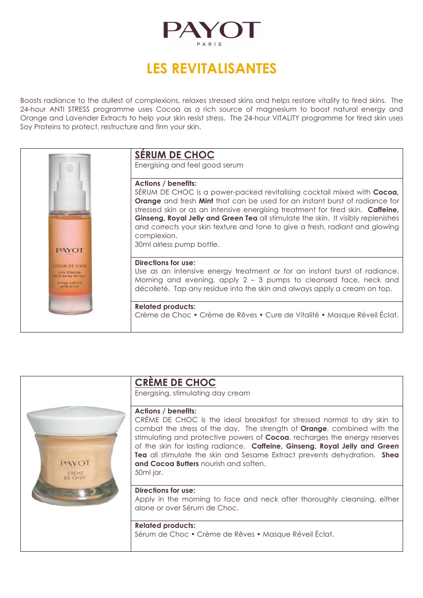

# **LES REVITALISANTES**

Boosts radiance to the dullest of complexions, relaxes stressed skins and helps restore vitality to tired skins. The 24-hour ANTI STRESS programme uses Cocoa as a rich source of magnesium to boost natural energy and Orange and Lavender Extracts to help your skin resist stress. The 24-hour VITALITY programme for tired skin uses Soy Proteins to protect, restructure and firm your skin.



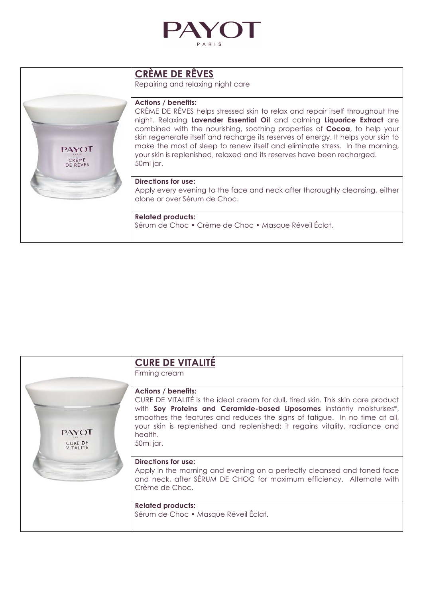

### **CRÈME DE RÊVES**

Repairing and relaxing night care

#### **Actions / benefits:**

CRÈME DE RÊVES helps stressed skin to relax and repair itself throughout the night. Relaxing **Lavender Essential Oil** and calming **Liquorice Extract** are combined with the nourishing, soothing properties of **Cocoa**, to help your skin regenerate itself and recharge its reserves of energy. It helps your skin to make the most of sleep to renew itself and eliminate stress. In the morning, your skin is replenished, relaxed and its reserves have been recharged. 50ml jar.

#### **Directions for use:**

**PAYOT** CRÈME<br>DE RÊVES

> Apply every evening to the face and neck after thoroughly cleansing, either alone or over Sérum de Choc.

#### **Related products:**

Sérum de Choc • Crème de Choc • Masque Réveil Éclat.